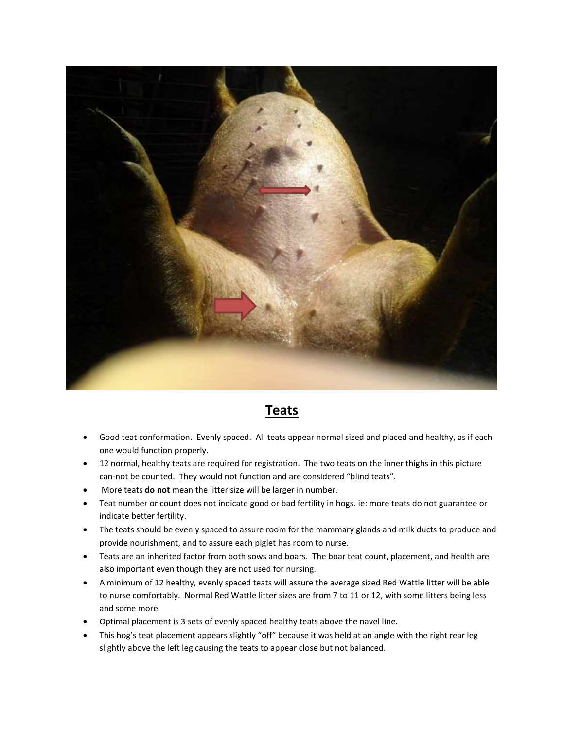

## **Teats**

- Good teat conformation. Evenly spaced. All teats appear normal sized and placed and healthy, as if each one would function properly.
- 12 normal, healthy teats are required for registration. The two teats on the inner thighs in this picture can-not be counted. They would not function and are considered "blind teats".
- More teats **do not** mean the litter size will be larger in number.
- Teat number or count does not indicate good or bad fertility in hogs. ie: more teats do not guarantee or indicate better fertility.
- The teats should be evenly spaced to assure room for the mammary glands and milk ducts to produce and provide nourishment, and to assure each piglet has room to nurse.
- Teats are an inherited factor from both sows and boars. The boar teat count, placement, and health are also important even though they are not used for nursing.
- A minimum of 12 healthy, evenly spaced teats will assure the average sized Red Wattle litter will be able to nurse comfortably. Normal Red Wattle litter sizes are from 7 to 11 or 12, with some litters being less and some more.
- Optimal placement is 3 sets of evenly spaced healthy teats above the navel line.
- This hog's teat placement appears slightly "off" because it was held at an angle with the right rear leg slightly above the left leg causing the teats to appear close but not balanced.